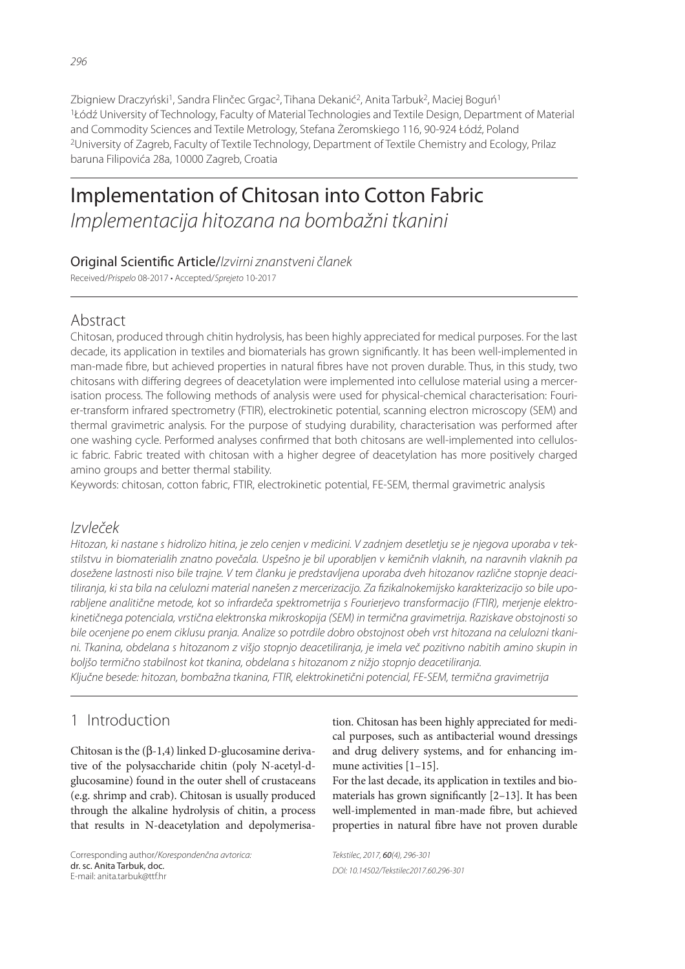Zbigniew Draczyński<sup>1</sup>, Sandra Flinčec Grgac<sup>2</sup>, Tihana Dekanić<sup>2</sup>, Anita Tarbuk<sup>2</sup>, Maciej Boguń<sup>1</sup> <sup>1</sup>Łódź University of Technology, Faculty of Material Technologies and Textile Design, Department of Material and Commodity Sciences and Textile Metrology, Stefana Żeromskiego 116, 90-924 Łódź, Poland <sup>2</sup>University of Zagreb, Faculty of Textile Technology, Department of Textile Chemistry and Ecology, Prilaz baruna Filipovića 28a, 10000 Zagreb, Croatia

# Implementation of Chitosan into Cotton Fabric *Implementacija hitozana na bombažni tkanini*

#### Original Scienti! c Article/*Izvirni znanstveni članek*

Received/*Prispelo* 08-2017 • Accepted/*Sprejeto* 10-2017

# Abstract

Chitosan, produced through chitin hydrolysis, has been highly appreciated for medical purposes. For the last decade, its application in textiles and biomaterials has grown significantly. It has been well-implemented in man-made fibre, but achieved properties in natural fibres have not proven durable. Thus, in this study, two chitosans with differing degrees of deacetylation were implemented into cellulose material using a mercerisation process. The following methods of analysis were used for physical-chemical characterisation: Fourier-transform infrared spectrometry (FTIR), electrokinetic potential, scanning electron microscopy (SEM) and thermal gravimetric analysis. For the purpose of studying durability, characterisation was performed after one washing cycle. Performed analyses confirmed that both chitosans are well-implemented into cellulosic fabric. Fabric treated with chitosan with a higher degree of deacetylation has more positively charged amino groups and better thermal stability.

Keywords: chitosan, cotton fabric, FTIR, electrokinetic potential, FE-SEM, thermal gravimetric analysis

## *Izvleček*

*Hitozan, ki nastane s hidrolizo hitina, je zelo cenjen v medicini. V zadnjem desetletju se je njegova uporaba v tekstilstvu in biomaterialih znatno povečala. Uspešno je bil uporabljen v kemičnih vlaknih, na naravnih vlaknih pa dosežene lastnosti niso bile trajne. V tem članku je predstavljena uporaba dveh hitozanov različne stopnje deaci*tiliranja, ki sta bila na celulozni material nanešen z mercerizacijo. Za fizikalnokemijsko karakterizacijo so bile upo*rabljene analitične metode, kot so infrardeča spektrometrija s Fourierjevo transformacijo (FTIR), merjenje elektrokinetičnega potenciala, vrstična elektronska mikroskopija (SEM) in termična gravimetrija. Raziskave obstojnosti so bile ocenjene po enem ciklusu pranja. Analize so potrdile dobro obstojnost obeh vrst hitozana na celulozni tkanini. Tkanina, obdelana s hitozanom z višjo stopnjo deacetiliranja, je imela več pozitivno nabitih amino skupin in boljšo termično stabilnost kot tkanina, obdelana s hitozanom z nižjo stopnjo deacetiliranja.*

*Ključne besede: hitozan, bombažna tkanina, FTIR, elektrokinetični potencial, FE-SEM, termična gravimetrija*

# 1 Introduction

Chitosan is the (β-1,4) linked D-glucosamine derivative of the polysaccharide chitin (poly N-acetyl-dglucosamine) found in the outer shell of crustaceans (e.g. shrimp and crab). Chitosan is usually produced through the alkaline hydrolysis of chitin, a process that results in N-deacetylation and depolymerisa-

Corresponding author/*Korespondenčna avtorica:* dr. sc. Anita Tarbuk, doc. E-mail: anita.tarbuk@ttf.hr

tion. Chitosan has been highly appreciated for medical purposes, such as antibacterial wound dressings and drug delivery systems, and for enhancing immune activities [1–15].

For the last decade, its application in textiles and biomaterials has grown significantly  $[2-13]$ . It has been well-implemented in man-made fibre, but achieved properties in natural fibre have not proven durable

*Tekstilec, 2017,* 60*(4), 296-301 DOI: 10.14502/Tekstilec2017.60.296-301*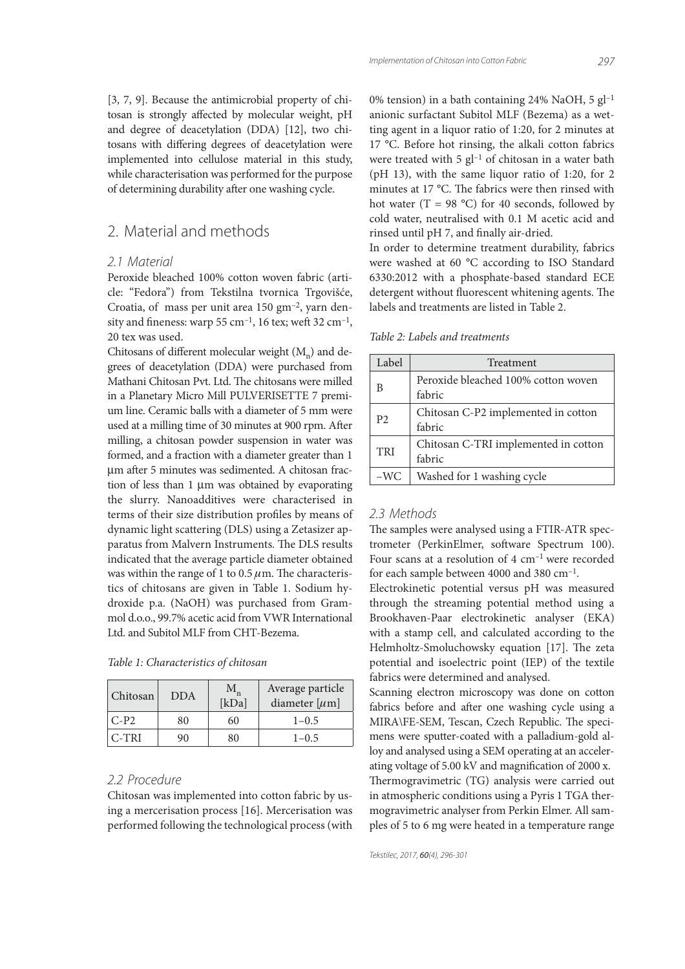[3, 7, 9]. Because the antimicrobial property of chitosan is strongly affected by molecular weight, pH and degree of deacetylation (DDA) [12], two chitosans with differing degrees of deacetylation were implemented into cellulose material in this study, while characterisation was performed for the purpose of determining durability after one washing cycle.

### 2. Material and methods

#### *2.1 Material*

Peroxide bleached 100% cotton woven fabric (article: "Fedora") from Tekstilna tvornica Trgovišće, Croatia, of mass per unit area 150 gm–2, yarn density and fineness: warp  $55 \text{ cm}^{-1}$ , 16 tex; weft  $32 \text{ cm}^{-1}$ , 20 tex was used.

Chitosans of different molecular weight  $(M_n)$  and degrees of deacetylation (DDA) were purchased from Mathani Chitosan Pvt. Ltd. The chitosans were milled in a Planetary Micro Mill PULVERISETTE 7 premium line. Ceramic balls with a diameter of 5 mm were used at a milling time of 30 minutes at 900 rpm. After milling, a chitosan powder suspension in water was formed, and a fraction with a diameter greater than 1 um after 5 minutes was sedimented. A chitosan fraction of less than 1 µm was obtained by evaporating the slurry. Nanoadditives were characterised in terms of their size distribution profiles by means of dynamic light scattering (DLS) using a Zetasizer apparatus from Malvern Instruments. The DLS results indicated that the average particle diameter obtained was within the range of 1 to  $0.5 \mu$ m. The characteristics of chitosans are given in Table 1. Sodium hydroxide p.a. (NaOH) was purchased from Grammol d.o.o., 99.7% acetic acid from VWR International Ltd. and Subitol MLF from CHT-Bezema.

| Chitosan | <b>DDA</b> | М<br>[kDa] | Average particle<br>diameter [ $\mu$ m] |
|----------|------------|------------|-----------------------------------------|
| $C-P2$   | 80         | 60         | $1 - 0.5$                               |
| C-TRI    | 90         | 80         | $1 - 0.5$                               |

#### *2.2 Procedure*

Chitosan was implemented into cotton fabric by using a mercerisation process [16]. Mercerisation was performed following the technological process (with 0% tension) in a bath containing 24% NaOH, 5  $gl^{-1}$ anionic surfactant Subitol MLF (Bezema) as a wetting agent in a liquor ratio of 1:20, for 2 minutes at 17 °C. Before hot rinsing, the alkali cotton fabrics were treated with  $5$  gl<sup>-1</sup> of chitosan in a water bath (pH 13), with the same liquor ratio of 1:20, for 2 minutes at 17 °C. The fabrics were then rinsed with hot water (T = 98 °C) for 40 seconds, followed by cold water, neutralised with 0.1 M acetic acid and rinsed until pH 7, and finally air-dried.

In order to determine treatment durability, fabrics were washed at 60 °C according to ISO Standard 6330:2012 with a phosphate-based standard ECE detergent without fluorescent whitening agents. The labels and treatments are listed in Table 2.

Table 2: Labels and treatments

| Label          | Treatment                                      |  |  |
|----------------|------------------------------------------------|--|--|
| В              | Peroxide bleached 100% cotton woven<br>fabric  |  |  |
| P <sub>2</sub> | Chitosan C-P2 implemented in cotton<br>fabric  |  |  |
| <b>TRI</b>     | Chitosan C-TRI implemented in cotton<br>fabric |  |  |
| -WC            | Washed for 1 washing cycle                     |  |  |

#### *2.3 Methods*

The samples were analysed using a FTIR-ATR spectrometer (PerkinElmer, software Spectrum 100). Four scans at a resolution of 4 cm–1 were recorded for each sample between 4000 and 380 cm<sup>-1</sup>.

Electrokinetic potential versus pH was measured through the streaming potential method using a Brookhaven-Paar electrokinetic analyser (EKA) with a stamp cell, and calculated according to the Helmholtz-Smoluchowsky equation [17]. The zeta potential and isoelectric point (IEP) of the textile fabrics were determined and analysed.

Scanning electron microscopy was done on cotton fabrics before and after one washing cycle using a MIRA\FE-SEM, Tescan, Czech Republic. The specimens were sputter-coated with a palladium-gold alloy and analysed using a SEM operating at an accelerating voltage of  $5.00 \text{ kV}$  and magnification of  $2000 \text{ x}$ . Thermogravimetric (TG) analysis were carried out in atmospheric conditions using a Pyris 1 TGA thermogravimetric analyser from Perkin Elmer. All samples of 5 to 6 mg were heated in a temperature range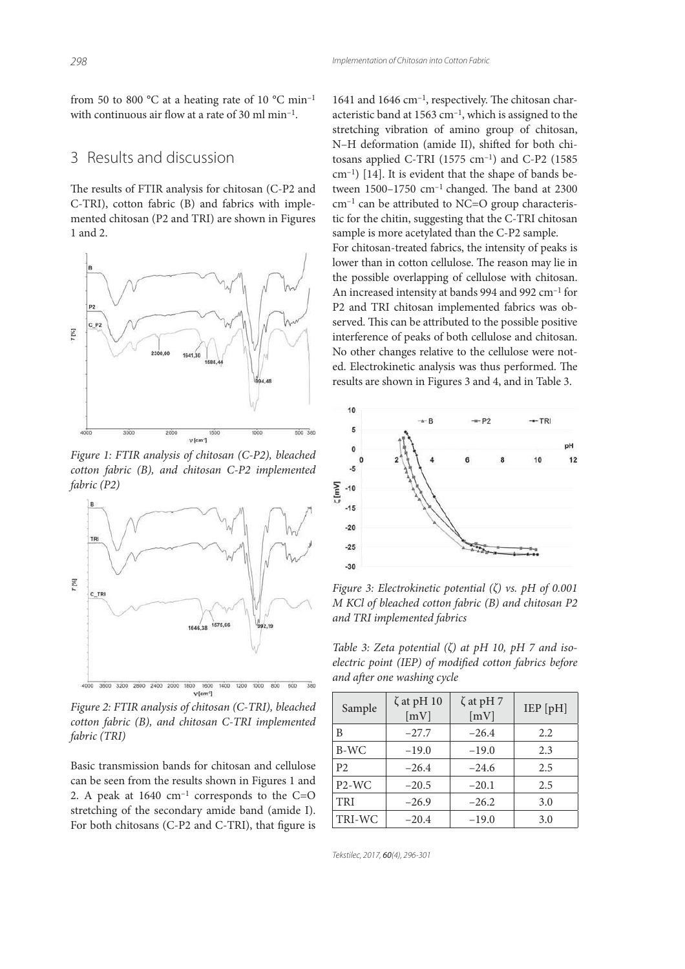from 50 to 800  $^{\circ}$ C at a heating rate of 10  $^{\circ}$ C min<sup>-1</sup> with continuous air flow at a rate of 30 ml  $min^{-1}$ .

#### 3 Results and discussion

The results of FTIR analysis for chitosan (C-P2 and C-TRI), cotton fabric (B) and fabrics with implemented chitosan (P2 and TRI) are shown in Figures 1 and 2.



Figure 1: FTIR analysis of chitosan (C-P2), bleached cotton fabric (B), and chitosan C-P2 implemented fabric (P2)



Figure 2: FTIR analysis of chitosan (C-TRI), bleached cotton fabric (B), and chitosan C-TRI implemented fabric (TRI)

Basic transmission bands for chitosan and cellulose can be seen from the results shown in Figures 1 and 2. A peak at  $1640 \text{ cm}^{-1}$  corresponds to the C=O stretching of the secondary amide band (amide I). For both chitosans (C-P2 and C-TRI), that figure is

1641 and 1646 cm<sup>-1</sup>, respectively. The chitosan characteristic band at 1563 cm–1, which is assigned to the stretching vibration of amino group of chitosan, N-H deformation (amide II), shifted for both chitosans applied C-TRI (1575 cm–1) and C-P2 (1585 cm–1) [14]. It is evident that the shape of bands between  $1500-1750$  cm<sup>-1</sup> changed. The band at 2300  $cm^{-1}$  can be attributed to NC=O group characteristic for the chitin, suggesting that the C-TRI chitosan sample is more acetylated than the C-P2 sample. For chitosan-treated fabrics, the intensity of peaks is lower than in cotton cellulose. The reason may lie in the possible overlapping of cellulose with chitosan. An increased intensity at bands 994 and 992 cm–1 for P2 and TRI chitosan implemented fabrics was observed. This can be attributed to the possible positive interference of peaks of both cellulose and chitosan. No other changes relative to the cellulose were noted. Electrokinetic analysis was thus performed. The results are shown in Figures 3 and 4, and in Table 3.



Figure 3: Electrokinetic potential  $(\zeta)$  vs. pH of 0.001 M KCl of bleached cotton fabric (B) and chitosan P2 and TRI implemented fabrics

Table 3: Zeta potential  $(\zeta)$  at pH 10, pH 7 and isoelectric point (IEP) of modified cotton fabrics before and after one washing cycle

| Sample                         | $\zeta$ at pH 10<br>[mV] | $\zeta$ at pH 7<br>[mV] | IEP[pH] |
|--------------------------------|--------------------------|-------------------------|---------|
| B                              | $-27.7$                  | $-26.4$                 | 2.2     |
| B-WC                           | $-19.0$                  | $-19.0$                 | 2.3     |
| P <sub>2</sub>                 | $-26.4$                  | $-24.6$                 | 2.5     |
| P <sub>2</sub> -W <sub>C</sub> | $-20.5$                  | $-20.1$                 | 2.5     |
| <b>TRI</b>                     | $-26.9$                  | $-26.2$                 | 3.0     |
| TRI-WC                         | $-20.4$                  | $-19.0$                 | 3.0     |

*Tekstilec, 2017,* 60*(4), 296-301*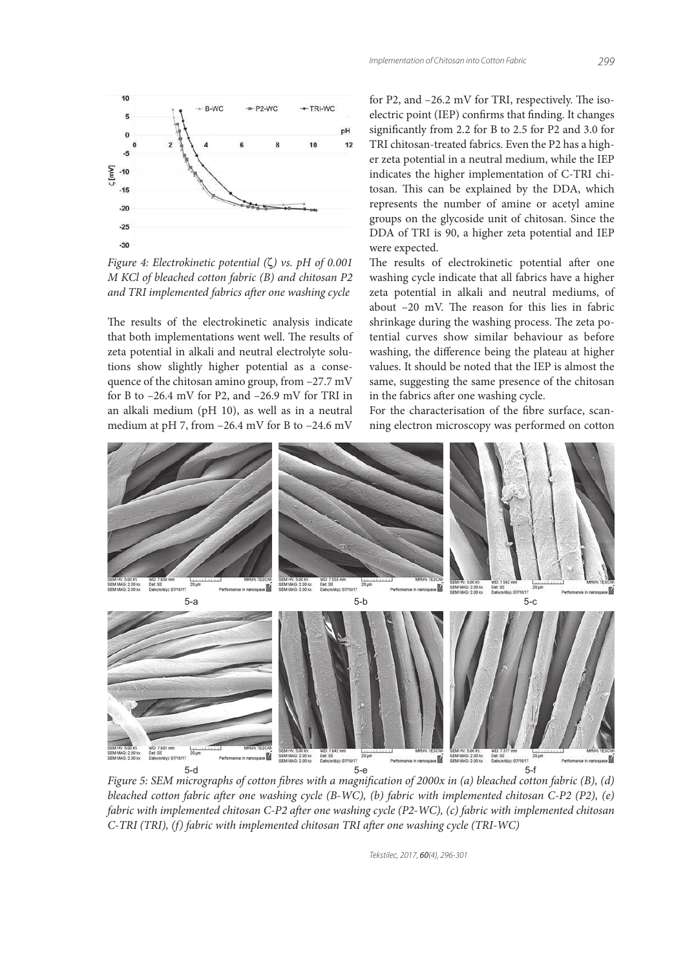

Figure 4: Electrokinetic potential (ζ) vs. pH of 0.001 M KCl of bleached cotton fabric (B) and chitosan P2 and TRI implemented fabrics after one washing cycle

The results of the electrokinetic analysis indicate that both implementations went well. The results of zeta potential in alkali and neutral electrolyte solutions show slightly higher potential as a consequence of the chitosan amino group, from –27.7 mV for B to –26.4 mV for P2, and –26.9 mV for TRI in an alkali medium (pH 10), as well as in a neutral medium at pH 7, from –26.4 mV for B to –24.6 mV

for P2, and  $-26.2$  mV for TRI, respectively. The isoelectric point (IEP) confirms that finding. It changes significantly from 2.2 for B to 2.5 for P2 and 3.0 for TRI chitosan-treated fabrics. Even the P2 has a higher zeta potential in a neutral medium, while the IEP indicates the higher implementation of C-TRI chitosan. This can be explained by the DDA, which represents the number of amine or acetyl amine groups on the glycoside unit of chitosan. Since the DDA of TRI is 90, a higher zeta potential and IEP were expected.

The results of electrokinetic potential after one washing cycle indicate that all fabrics have a higher zeta potential in alkali and neutral mediums, of about  $-20$  mV. The reason for this lies in fabric shrinkage during the washing process. The zeta potential curves show similar behaviour as before washing, the difference being the plateau at higher values. It should be noted that the IEP is almost the same, suggesting the same presence of the chitosan in the fabrics after one washing cycle.

For the characterisation of the fibre surface, scanning electron microscopy was performed on cotton



Figure 5: SEM micrographs of cotton fibres with a magnification of  $2000x$  in (a) bleached cotton fabric (B), (d) bleached cotton fabric after one washing cycle (B-WC), (b) fabric with implemented chitosan C-P2 (P2), (e) fabric with implemented chitosan C-P2 after one washing cycle (P2-WC), (c) fabric with implemented chitosan  $C-TRI$  (TRI), (f) fabric with implemented chitosan TRI after one washing cycle (TRI-WC)

*Tekstilec, 2017,* 60*(4), 296-301*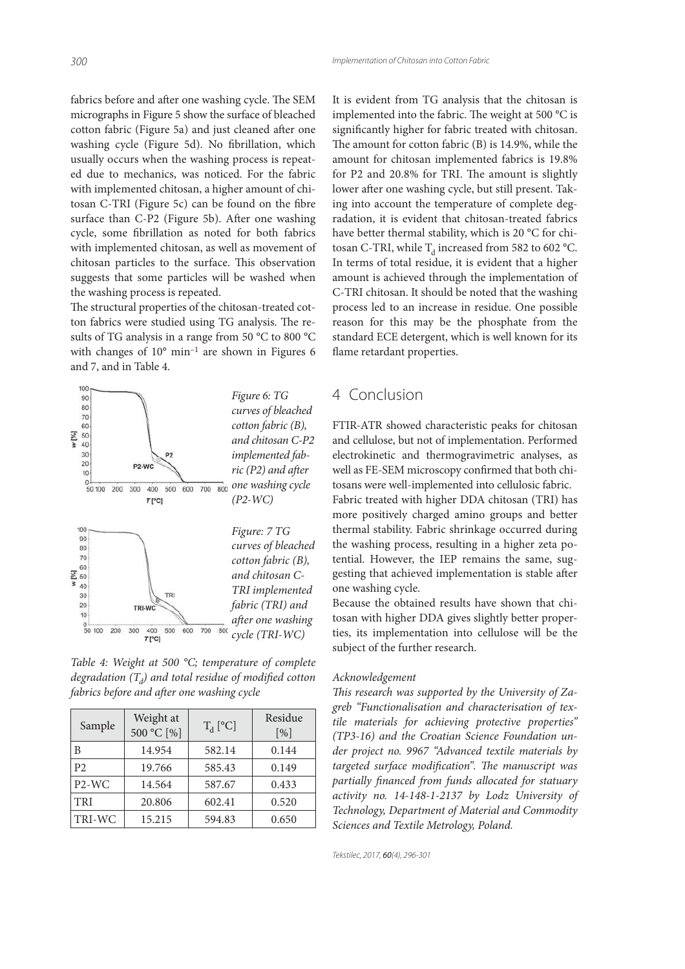fabrics before and after one washing cycle. The SEM micrographs in Figure 5 show the surface of bleached cotton fabric (Figure 5a) and just cleaned after one washing cycle (Figure 5d). No fibrillation, which usually occurs when the washing process is repeated due to mechanics, was noticed. For the fabric with implemented chitosan, a higher amount of chitosan  $C-TRI$  (Figure 5c) can be found on the fibre surface than C-P2 (Figure 5b). After one washing cycle, some fibrillation as noted for both fabrics with implemented chitosan, as well as movement of chitosan particles to the surface. This observation suggests that some particles will be washed when the washing process is repeated.

The structural properties of the chitosan-treated cotton fabrics were studied using TG analysis. The results of TG analysis in a range from 50 °C to 800 °C with changes of 10° min–1 are shown in Figures 6 and 7, and in Table 4.



Table 4: Weight at 500 °C; temperature of complete degradation (T<sub>d</sub>) and total residue of modified cotton fabrics before and after one washing cycle

| Sample                         | Weight at<br>500 °C [%] | $T_d$ [°C] | Residue<br>$\lceil \frac{9}{0} \rceil$ |
|--------------------------------|-------------------------|------------|----------------------------------------|
| В                              | 14.954                  | 582.14     | 0.144                                  |
| P <sub>2</sub>                 | 19.766                  | 585.43     | 0.149                                  |
| P <sub>2</sub> -W <sub>C</sub> | 14.564                  | 587.67     | 0.433                                  |
| <b>TRI</b>                     | 20.806                  | 602.41     | 0.520                                  |
| TRI-WC                         | 15.215                  | 594.83     | 0.650                                  |

It is evident from TG analysis that the chitosan is implemented into the fabric. The weight at 500  $^{\circ}$ C is significantly higher for fabric treated with chitosan. The amount for cotton fabric  $(B)$  is 14.9%, while the amount for chitosan implemented fabrics is 19.8% for  $P2$  and  $20.8\%$  for TRI. The amount is slightly lower after one washing cycle, but still present. Taking into account the temperature of complete degradation, it is evident that chitosan-treated fabrics have better thermal stability, which is 20 °C for chitosan C-TRI, while  $T_d$  increased from 582 to 602 °C. In terms of total residue, it is evident that a higher amount is achieved through the implementation of C-TRI chitosan. It should be noted that the washing process led to an increase in residue. One possible reason for this may be the phosphate from the standard ECE detergent, which is well known for its flame retardant properties.

#### 4 Conclusion

FTIR-ATR showed characteristic peaks for chitosan and cellulose, but not of implementation. Performed electrokinetic and thermogravimetric analyses, as well as FE-SEM microscopy confirmed that both chitosans were well-implemented into cellulosic fabric. Fabric treated with higher DDA chitosan (TRI) has more positively charged amino groups and better thermal stability. Fabric shrinkage occurred during the washing process, resulting in a higher zeta potential. However, the IEP remains the same, suggesting that achieved implementation is stable after one washing cycle.

Because the obtained results have shown that chitosan with higher DDA gives slightly better properties, its implementation into cellulose will be the subject of the further research.

#### Acknowledgement

This research was supported by the University of Zagreb "Functionalisation and characterisation of textile materials for achieving protective properties" (TP3-16) and the Croatian Science Foundation under project no. 9967 "Advanced textile materials by targeted surface modification". The manuscript was partially financed from funds allocated for statuary activity no. 14-148-1-2137 by Lodz University of Technology, Department of Material and Commodity Sciences and Textile Metrology, Poland.

*Tekstilec, 2017,* 60*(4), 296-301*